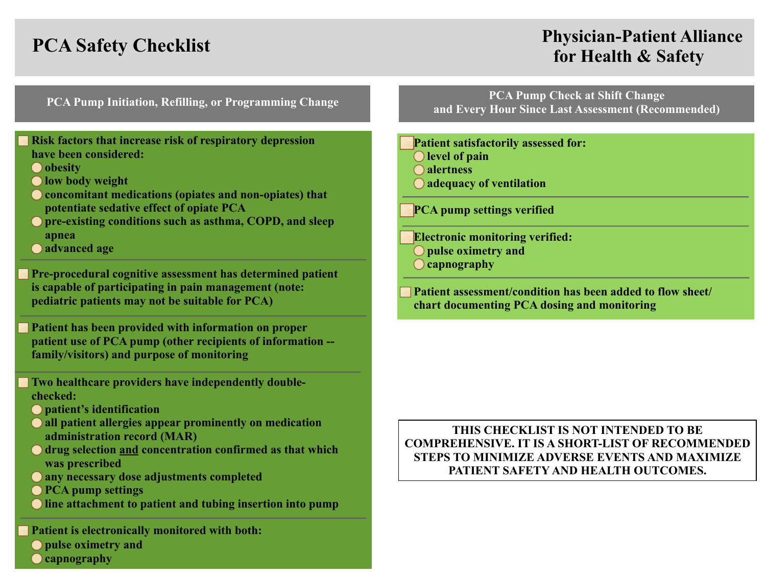# **PCA Safety Checklist PCA Safety Checklist Physician-Patient Alliance for Health & Safety**

### **Risk factors that increase risk of respiratory depression have been considered:**

- **obesity**
- **low body weight**
- **concomitant medications (opiates and non-opiates) that potentiate sedative effect of opiate PCA**
- **O** pre-existing conditions such as asthma, COPD, and sleep **apnea**
- **advanced age**

**Pre-procedural cognitive assessment has determined patient is capable of participating in pain management (note: pediatric patients may not be suitable for PCA)**

**Patient has been provided with information on proper patient use of PCA pump (other recipients of information - family/visitors) and purpose of monitoring**

**Two healthcare providers have independently doublechecked:**

- **patient's identification**
- **all patient allergies appear prominently on medication administration record (MAR)**
- **drug selection and concentration confirmed as that which was prescribed**
- **any necessary dose adjustments completed**
- **PCA pump settings**
- **line attachment to patient and tubing insertion into pump**

**Patient is electronically monitored with both: O** pulse oximetry and **capnography**

**PCA Pump Initiation, Refilling, or Programming Change PCA Pump Check at Shift Change and Every Hour Since Last Assessment (Recommended)**

> **Patient satisfactorily assessed for: level of pain**

- **alertness**
- **adequacy of ventilation**

**PCA pump settings verified**

**Electronic monitoring verified:** 

**pulse oximetry and** 

**capnography**

**Patient assessment/condition has been added to flow sheet/ chart documenting PCA dosing and monitoring**

## **THIS CHECKLIST IS NOT INTENDED TO BE COMPREHENSIVE. IT IS A SHORT-LIST OF RECOMMENDED STEPS TO MINIMIZE ADVERSE EVENTS AND MAXIMIZE PATIENT SAFETY AND HEALTH OUTCOMES.**